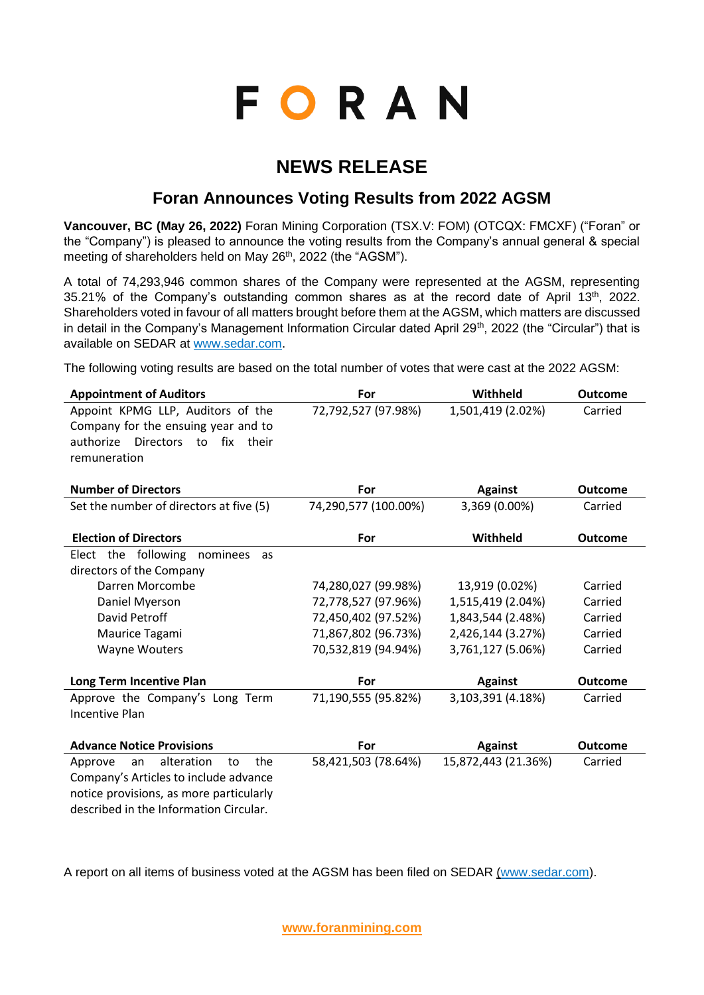# **FORAN**

## **NEWS RELEASE**

### **Foran Announces Voting Results from 2022 AGSM**

**Vancouver, BC (May 26, 2022)** Foran Mining Corporation (TSX.V: FOM) (OTCQX: FMCXF) ("Foran" or the "Company") is pleased to announce the voting results from the Company's annual general & special meeting of shareholders held on May 26<sup>th</sup>, 2022 (the "AGSM").

A total of 74,293,946 common shares of the Company were represented at the AGSM, representing 35.21% of the Company's outstanding common shares as at the record date of April 13<sup>th</sup>, 2022. Shareholders voted in favour of all matters brought before them at the AGSM, which matters are discussed in detail in the Company's Management Information Circular dated April 29<sup>th</sup>, 2022 (the "Circular") that is available on SEDAR at [www.sedar.com.](http://www.sedar.com/)

The following voting results are based on the total number of votes that were cast at the 2022 AGSM:

| <b>Appointment of Auditors</b>                   | For                  | Withheld            | <b>Outcome</b> |
|--------------------------------------------------|----------------------|---------------------|----------------|
| Appoint KPMG LLP, Auditors of the                | 72,792,527 (97.98%)  | 1,501,419 (2.02%)   | Carried        |
| Company for the ensuing year and to              |                      |                     |                |
| authorize<br><b>Directors</b><br>fix their<br>to |                      |                     |                |
| remuneration                                     |                      |                     |                |
|                                                  |                      |                     |                |
| <b>Number of Directors</b>                       | For                  | <b>Against</b>      | <b>Outcome</b> |
| Set the number of directors at five (5)          | 74,290,577 (100.00%) | 3,369 (0.00%)       | Carried        |
|                                                  |                      |                     |                |
| <b>Election of Directors</b>                     | For                  | Withheld            | <b>Outcome</b> |
| Elect the following<br>nominees<br>as            |                      |                     |                |
| directors of the Company                         |                      |                     |                |
| Darren Morcombe                                  | 74,280,027 (99.98%)  | 13,919 (0.02%)      | Carried        |
| Daniel Myerson                                   | 72,778,527 (97.96%)  | 1,515,419 (2.04%)   | Carried        |
| David Petroff                                    | 72,450,402 (97.52%)  | 1,843,544 (2.48%)   | Carried        |
| Maurice Tagami                                   | 71,867,802 (96.73%)  | 2,426,144 (3.27%)   | Carried        |
| <b>Wayne Wouters</b>                             | 70,532,819 (94.94%)  | 3,761,127 (5.06%)   | Carried        |
|                                                  |                      |                     |                |
| Long Term Incentive Plan                         | For                  | <b>Against</b>      | <b>Outcome</b> |
| Approve the Company's Long Term                  | 71,190,555 (95.82%)  | 3,103,391 (4.18%)   | Carried        |
| <b>Incentive Plan</b>                            |                      |                     |                |
|                                                  |                      |                     |                |
| <b>Advance Notice Provisions</b>                 | For                  | <b>Against</b>      | <b>Outcome</b> |
| alteration<br>the<br>Approve<br>an<br>to         | 58,421,503 (78.64%)  | 15,872,443 (21.36%) | Carried        |
| Company's Articles to include advance            |                      |                     |                |
| notice provisions, as more particularly          |                      |                     |                |
| described in the Information Circular.           |                      |                     |                |

A report on all items of business voted at the AGSM has been filed on SEDAR [\(www.sedar.com\)](https://c212.net/c/link/?t=0&l=en&o=3536028-1&h=2321522736&u=http%3A%2F%2Fwww.sedar.com%2F&a=www.sedar.com).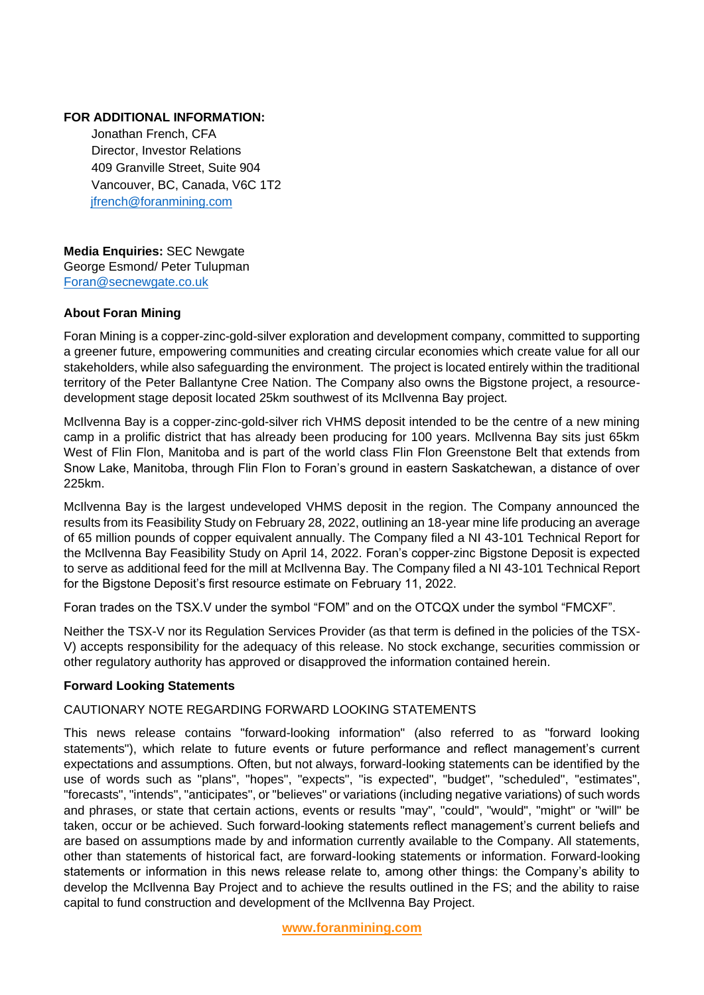#### **FOR ADDITIONAL INFORMATION:**

Jonathan French, CFA Director, Investor Relations 409 Granville Street, Suite 904 Vancouver, BC, Canada, V6C 1T2 [jfrench@foranmining.com](mailto:jfrench@foranmining.com)

**Media Enquiries:** SEC Newgate George Esmond/ Peter Tulupman [Foran@secnewgate.co.uk](mailto:Foran@secnewgate.co.uk)

#### **About Foran Mining**

Foran Mining is a copper-zinc-gold-silver exploration and development company, committed to supporting a greener future, empowering communities and creating circular economies which create value for all our stakeholders, while also safeguarding the environment. The project is located entirely within the traditional territory of the Peter Ballantyne Cree Nation. The Company also owns the Bigstone project, a resourcedevelopment stage deposit located 25km southwest of its McIlvenna Bay project.

McIlvenna Bay is a copper-zinc-gold-silver rich VHMS deposit intended to be the centre of a new mining camp in a prolific district that has already been producing for 100 years. McIlvenna Bay sits just 65km West of Flin Flon, Manitoba and is part of the world class Flin Flon Greenstone Belt that extends from Snow Lake, Manitoba, through Flin Flon to Foran's ground in eastern Saskatchewan, a distance of over 225km.

McIlvenna Bay is the largest undeveloped VHMS deposit in the region. The Company announced the results from its Feasibility Study on February 28, 2022, outlining an 18-year mine life producing an average of 65 million pounds of copper equivalent annually. The Company filed a NI 43-101 Technical Report for the McIlvenna Bay Feasibility Study on April 14, 2022. Foran's copper-zinc Bigstone Deposit is expected to serve as additional feed for the mill at McIlvenna Bay. The Company filed a NI 43-101 Technical Report for the Bigstone Deposit's first resource estimate on February 11, 2022.

Foran trades on the TSX.V under the symbol "FOM" and on the OTCQX under the symbol "FMCXF".

Neither the TSX-V nor its Regulation Services Provider (as that term is defined in the policies of the TSX-V) accepts responsibility for the adequacy of this release. No stock exchange, securities commission or other regulatory authority has approved or disapproved the information contained herein.

#### **Forward Looking Statements**

#### CAUTIONARY NOTE REGARDING FORWARD LOOKING STATEMENTS

This news release contains "forward-looking information" (also referred to as "forward looking statements"), which relate to future events or future performance and reflect management's current expectations and assumptions. Often, but not always, forward-looking statements can be identified by the use of words such as "plans", "hopes", "expects", "is expected", "budget", "scheduled", "estimates", "forecasts", "intends", "anticipates", or "believes" or variations (including negative variations) of such words and phrases, or state that certain actions, events or results "may", "could", "would", "might" or "will" be taken, occur or be achieved. Such forward-looking statements reflect management's current beliefs and are based on assumptions made by and information currently available to the Company. All statements, other than statements of historical fact, are forward-looking statements or information. Forward-looking statements or information in this news release relate to, among other things: the Company's ability to develop the McIlvenna Bay Project and to achieve the results outlined in the FS; and the ability to raise capital to fund construction and development of the McIlvenna Bay Project.

**[www.foranmining.com](http://www.foranmining.com/)**